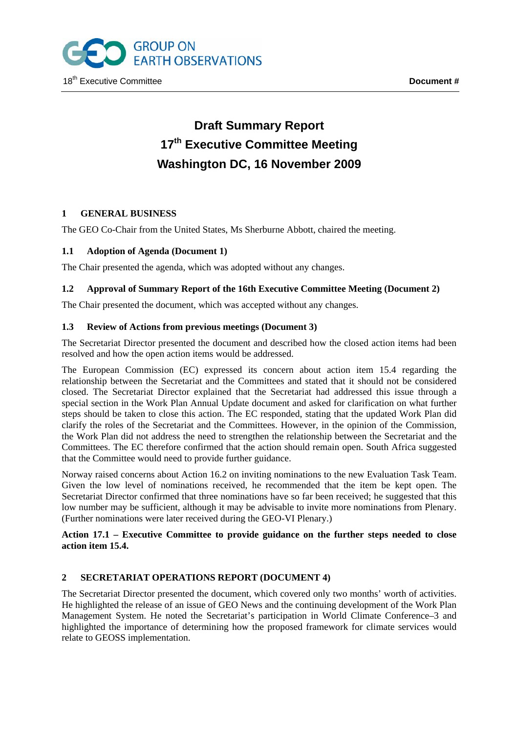

# **Draft Summary Report 17th Executive Committee Meeting Washington DC, 16 November 2009**

# **1 GENERAL BUSINESS**

The GEO Co-Chair from the United States, Ms Sherburne Abbott, chaired the meeting.

# **1.1 Adoption of Agenda (Document 1)**

The Chair presented the agenda, which was adopted without any changes.

# **1.2 Approval of Summary Report of the 16th Executive Committee Meeting (Document 2)**

The Chair presented the document, which was accepted without any changes.

# **1.3 Review of Actions from previous meetings (Document 3)**

The Secretariat Director presented the document and described how the closed action items had been resolved and how the open action items would be addressed.

The European Commission (EC) expressed its concern about action item 15.4 regarding the relationship between the Secretariat and the Committees and stated that it should not be considered closed. The Secretariat Director explained that the Secretariat had addressed this issue through a special section in the Work Plan Annual Update document and asked for clarification on what further steps should be taken to close this action. The EC responded, stating that the updated Work Plan did clarify the roles of the Secretariat and the Committees. However, in the opinion of the Commission, the Work Plan did not address the need to strengthen the relationship between the Secretariat and the Committees. The EC therefore confirmed that the action should remain open. South Africa suggested that the Committee would need to provide further guidance.

Norway raised concerns about Action 16.2 on inviting nominations to the new Evaluation Task Team. Given the low level of nominations received, he recommended that the item be kept open. The Secretariat Director confirmed that three nominations have so far been received; he suggested that this low number may be sufficient, although it may be advisable to invite more nominations from Plenary. (Further nominations were later received during the GEO-VI Plenary.)

# **Action 17.1 – Executive Committee to provide guidance on the further steps needed to close action item 15.4.**

# **2 SECRETARIAT OPERATIONS REPORT (DOCUMENT 4)**

The Secretariat Director presented the document, which covered only two months' worth of activities. He highlighted the release of an issue of GEO News and the continuing development of the Work Plan Management System. He noted the Secretariat's participation in World Climate Conference–3 and highlighted the importance of determining how the proposed framework for climate services would relate to GEOSS implementation.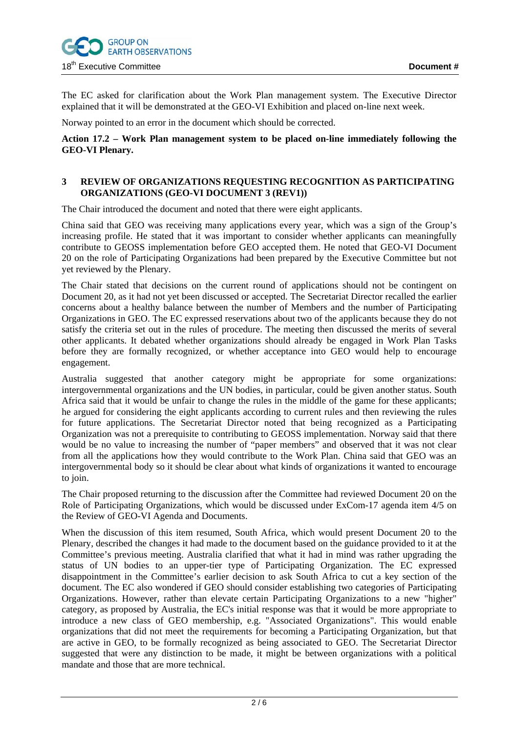

The EC asked for clarification about the Work Plan management system. The Executive Director explained that it will be demonstrated at the GEO-VI Exhibition and placed on-line next week.

Norway pointed to an error in the document which should be corrected.

#### **Action 17.2 – Work Plan management system to be placed on-line immediately following the GEO-VI Plenary.**

#### **3 REVIEW OF ORGANIZATIONS REQUESTING RECOGNITION AS PARTICIPATING ORGANIZATIONS (GEO-VI DOCUMENT 3 (REV1))**

The Chair introduced the document and noted that there were eight applicants.

China said that GEO was receiving many applications every year, which was a sign of the Group's increasing profile. He stated that it was important to consider whether applicants can meaningfully contribute to GEOSS implementation before GEO accepted them. He noted that GEO-VI Document 20 on the role of Participating Organizations had been prepared by the Executive Committee but not yet reviewed by the Plenary.

The Chair stated that decisions on the current round of applications should not be contingent on Document 20, as it had not yet been discussed or accepted. The Secretariat Director recalled the earlier concerns about a healthy balance between the number of Members and the number of Participating Organizations in GEO. The EC expressed reservations about two of the applicants because they do not satisfy the criteria set out in the rules of procedure. The meeting then discussed the merits of several other applicants. It debated whether organizations should already be engaged in Work Plan Tasks before they are formally recognized, or whether acceptance into GEO would help to encourage engagement.

Australia suggested that another category might be appropriate for some organizations: intergovernmental organizations and the UN bodies, in particular, could be given another status. South Africa said that it would be unfair to change the rules in the middle of the game for these applicants; he argued for considering the eight applicants according to current rules and then reviewing the rules for future applications. The Secretariat Director noted that being recognized as a Participating Organization was not a prerequisite to contributing to GEOSS implementation. Norway said that there would be no value to increasing the number of "paper members" and observed that it was not clear from all the applications how they would contribute to the Work Plan. China said that GEO was an intergovernmental body so it should be clear about what kinds of organizations it wanted to encourage to join.

The Chair proposed returning to the discussion after the Committee had reviewed Document 20 on the Role of Participating Organizations, which would be discussed under ExCom-17 agenda item 4/5 on the Review of GEO-VI Agenda and Documents.

When the discussion of this item resumed, South Africa, which would present Document 20 to the Plenary, described the changes it had made to the document based on the guidance provided to it at the Committee's previous meeting. Australia clarified that what it had in mind was rather upgrading the status of UN bodies to an upper-tier type of Participating Organization. The EC expressed disappointment in the Committee's earlier decision to ask South Africa to cut a key section of the document. The EC also wondered if GEO should consider establishing two categories of Participating Organizations. However, rather than elevate certain Participating Organizations to a new "higher" category, as proposed by Australia, the EC's initial response was that it would be more appropriate to introduce a new class of GEO membership, e.g. "Associated Organizations". This would enable organizations that did not meet the requirements for becoming a Participating Organization, but that are active in GEO, to be formally recognized as being associated to GEO. The Secretariat Director suggested that were any distinction to be made, it might be between organizations with a political mandate and those that are more technical.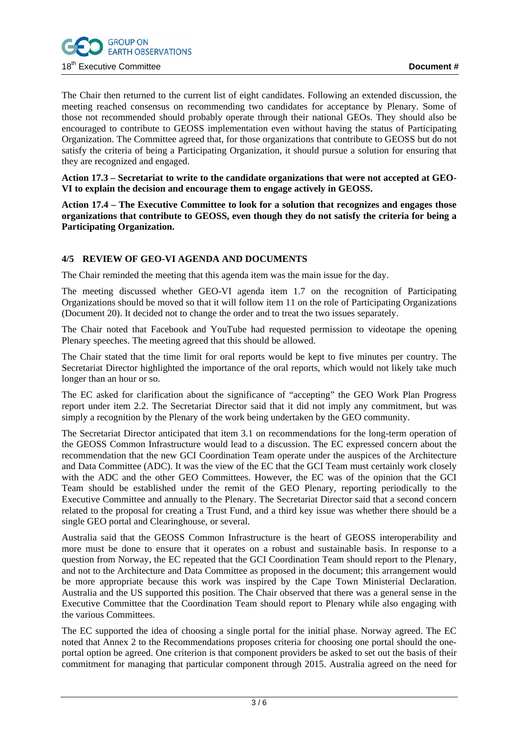The Chair then returned to the current list of eight candidates. Following an extended discussion, the meeting reached consensus on recommending two candidates for acceptance by Plenary. Some of those not recommended should probably operate through their national GEOs. They should also be encouraged to contribute to GEOSS implementation even without having the status of Participating Organization. The Committee agreed that, for those organizations that contribute to GEOSS but do not satisfy the criteria of being a Participating Organization, it should pursue a solution for ensuring that they are recognized and engaged.

**Action 17.3 – Secretariat to write to the candidate organizations that were not accepted at GEO-VI to explain the decision and encourage them to engage actively in GEOSS.** 

**Action 17.4 – The Executive Committee to look for a solution that recognizes and engages those organizations that contribute to GEOSS, even though they do not satisfy the criteria for being a Participating Organization.** 

# **4/5 REVIEW OF GEO-VI AGENDA AND DOCUMENTS**

The Chair reminded the meeting that this agenda item was the main issue for the day.

The meeting discussed whether GEO-VI agenda item 1.7 on the recognition of Participating Organizations should be moved so that it will follow item 11 on the role of Participating Organizations (Document 20). It decided not to change the order and to treat the two issues separately.

The Chair noted that Facebook and YouTube had requested permission to videotape the opening Plenary speeches. The meeting agreed that this should be allowed.

The Chair stated that the time limit for oral reports would be kept to five minutes per country. The Secretariat Director highlighted the importance of the oral reports, which would not likely take much longer than an hour or so.

The EC asked for clarification about the significance of "accepting" the GEO Work Plan Progress report under item 2.2. The Secretariat Director said that it did not imply any commitment, but was simply a recognition by the Plenary of the work being undertaken by the GEO community.

The Secretariat Director anticipated that item 3.1 on recommendations for the long-term operation of the GEOSS Common Infrastructure would lead to a discussion. The EC expressed concern about the recommendation that the new GCI Coordination Team operate under the auspices of the Architecture and Data Committee (ADC). It was the view of the EC that the GCI Team must certainly work closely with the ADC and the other GEO Committees. However, the EC was of the opinion that the GCI Team should be established under the remit of the GEO Plenary, reporting periodically to the Executive Committee and annually to the Plenary. The Secretariat Director said that a second concern related to the proposal for creating a Trust Fund, and a third key issue was whether there should be a single GEO portal and Clearinghouse, or several.

Australia said that the GEOSS Common Infrastructure is the heart of GEOSS interoperability and more must be done to ensure that it operates on a robust and sustainable basis. In response to a question from Norway, the EC repeated that the GCI Coordination Team should report to the Plenary, and not to the Architecture and Data Committee as proposed in the document; this arrangement would be more appropriate because this work was inspired by the Cape Town Ministerial Declaration. Australia and the US supported this position. The Chair observed that there was a general sense in the Executive Committee that the Coordination Team should report to Plenary while also engaging with the various Committees.

The EC supported the idea of choosing a single portal for the initial phase. Norway agreed. The EC noted that Annex 2 to the Recommendations proposes criteria for choosing one portal should the oneportal option be agreed. One criterion is that component providers be asked to set out the basis of their commitment for managing that particular component through 2015. Australia agreed on the need for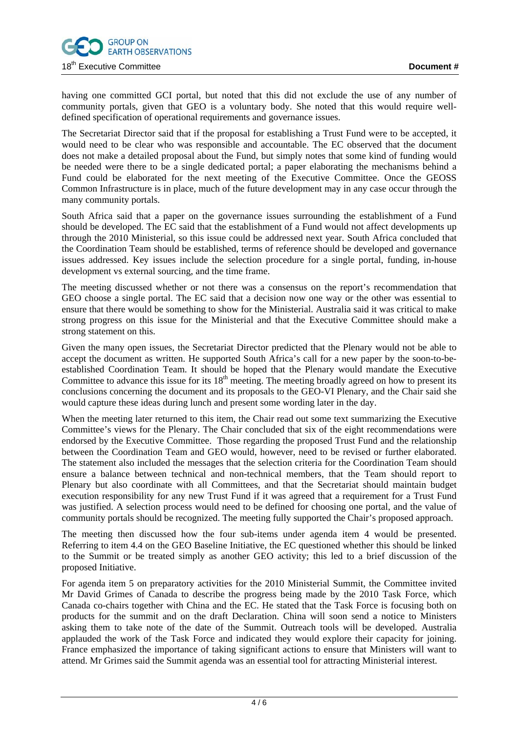

having one committed GCI portal, but noted that this did not exclude the use of any number of community portals, given that GEO is a voluntary body. She noted that this would require welldefined specification of operational requirements and governance issues.

The Secretariat Director said that if the proposal for establishing a Trust Fund were to be accepted, it would need to be clear who was responsible and accountable. The EC observed that the document does not make a detailed proposal about the Fund, but simply notes that some kind of funding would be needed were there to be a single dedicated portal; a paper elaborating the mechanisms behind a Fund could be elaborated for the next meeting of the Executive Committee. Once the GEOSS Common Infrastructure is in place, much of the future development may in any case occur through the many community portals.

South Africa said that a paper on the governance issues surrounding the establishment of a Fund should be developed. The EC said that the establishment of a Fund would not affect developments up through the 2010 Ministerial, so this issue could be addressed next year. South Africa concluded that the Coordination Team should be established, terms of reference should be developed and governance issues addressed. Key issues include the selection procedure for a single portal, funding, in-house development vs external sourcing, and the time frame.

The meeting discussed whether or not there was a consensus on the report's recommendation that GEO choose a single portal. The EC said that a decision now one way or the other was essential to ensure that there would be something to show for the Ministerial. Australia said it was critical to make strong progress on this issue for the Ministerial and that the Executive Committee should make a strong statement on this.

Given the many open issues, the Secretariat Director predicted that the Plenary would not be able to accept the document as written. He supported South Africa's call for a new paper by the soon-to-beestablished Coordination Team. It should be hoped that the Plenary would mandate the Executive Committee to advance this issue for its  $18<sup>th</sup>$  meeting. The meeting broadly agreed on how to present its conclusions concerning the document and its proposals to the GEO-VI Plenary, and the Chair said she would capture these ideas during lunch and present some wording later in the day.

When the meeting later returned to this item, the Chair read out some text summarizing the Executive Committee's views for the Plenary. The Chair concluded that six of the eight recommendations were endorsed by the Executive Committee. Those regarding the proposed Trust Fund and the relationship between the Coordination Team and GEO would, however, need to be revised or further elaborated. The statement also included the messages that the selection criteria for the Coordination Team should ensure a balance between technical and non-technical members, that the Team should report to Plenary but also coordinate with all Committees, and that the Secretariat should maintain budget execution responsibility for any new Trust Fund if it was agreed that a requirement for a Trust Fund was justified. A selection process would need to be defined for choosing one portal, and the value of community portals should be recognized. The meeting fully supported the Chair's proposed approach.

The meeting then discussed how the four sub-items under agenda item 4 would be presented. Referring to item 4.4 on the GEO Baseline Initiative, the EC questioned whether this should be linked to the Summit or be treated simply as another GEO activity; this led to a brief discussion of the proposed Initiative.

For agenda item 5 on preparatory activities for the 2010 Ministerial Summit, the Committee invited Mr David Grimes of Canada to describe the progress being made by the 2010 Task Force, which Canada co-chairs together with China and the EC. He stated that the Task Force is focusing both on products for the summit and on the draft Declaration. China will soon send a notice to Ministers asking them to take note of the date of the Summit. Outreach tools will be developed. Australia applauded the work of the Task Force and indicated they would explore their capacity for joining. France emphasized the importance of taking significant actions to ensure that Ministers will want to attend. Mr Grimes said the Summit agenda was an essential tool for attracting Ministerial interest.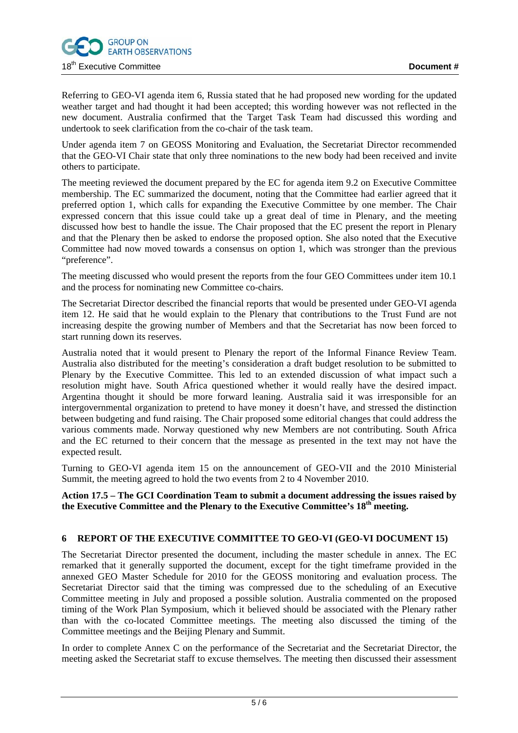

Referring to GEO-VI agenda item 6, Russia stated that he had proposed new wording for the updated weather target and had thought it had been accepted; this wording however was not reflected in the new document. Australia confirmed that the Target Task Team had discussed this wording and undertook to seek clarification from the co-chair of the task team.

Under agenda item 7 on GEOSS Monitoring and Evaluation, the Secretariat Director recommended that the GEO-VI Chair state that only three nominations to the new body had been received and invite others to participate.

The meeting reviewed the document prepared by the EC for agenda item 9.2 on Executive Committee membership. The EC summarized the document, noting that the Committee had earlier agreed that it preferred option 1, which calls for expanding the Executive Committee by one member. The Chair expressed concern that this issue could take up a great deal of time in Plenary, and the meeting discussed how best to handle the issue. The Chair proposed that the EC present the report in Plenary and that the Plenary then be asked to endorse the proposed option. She also noted that the Executive Committee had now moved towards a consensus on option 1, which was stronger than the previous "preference".

The meeting discussed who would present the reports from the four GEO Committees under item 10.1 and the process for nominating new Committee co-chairs.

The Secretariat Director described the financial reports that would be presented under GEO-VI agenda item 12. He said that he would explain to the Plenary that contributions to the Trust Fund are not increasing despite the growing number of Members and that the Secretariat has now been forced to start running down its reserves.

Australia noted that it would present to Plenary the report of the Informal Finance Review Team. Australia also distributed for the meeting's consideration a draft budget resolution to be submitted to Plenary by the Executive Committee. This led to an extended discussion of what impact such a resolution might have. South Africa questioned whether it would really have the desired impact. Argentina thought it should be more forward leaning. Australia said it was irresponsible for an intergovernmental organization to pretend to have money it doesn't have, and stressed the distinction between budgeting and fund raising. The Chair proposed some editorial changes that could address the various comments made. Norway questioned why new Members are not contributing. South Africa and the EC returned to their concern that the message as presented in the text may not have the expected result.

Turning to GEO-VI agenda item 15 on the announcement of GEO-VII and the 2010 Ministerial Summit, the meeting agreed to hold the two events from 2 to 4 November 2010.

**Action 17.5 – The GCI Coordination Team to submit a document addressing the issues raised by the Executive Committee and the Plenary to the Executive Committee's 18th meeting.** 

# **6 REPORT OF THE EXECUTIVE COMMITTEE TO GEO-VI (GEO-VI DOCUMENT 15)**

The Secretariat Director presented the document, including the master schedule in annex. The EC remarked that it generally supported the document, except for the tight timeframe provided in the annexed GEO Master Schedule for 2010 for the GEOSS monitoring and evaluation process. The Secretariat Director said that the timing was compressed due to the scheduling of an Executive Committee meeting in July and proposed a possible solution. Australia commented on the proposed timing of the Work Plan Symposium, which it believed should be associated with the Plenary rather than with the co-located Committee meetings. The meeting also discussed the timing of the Committee meetings and the Beijing Plenary and Summit.

In order to complete Annex C on the performance of the Secretariat and the Secretariat Director, the meeting asked the Secretariat staff to excuse themselves. The meeting then discussed their assessment